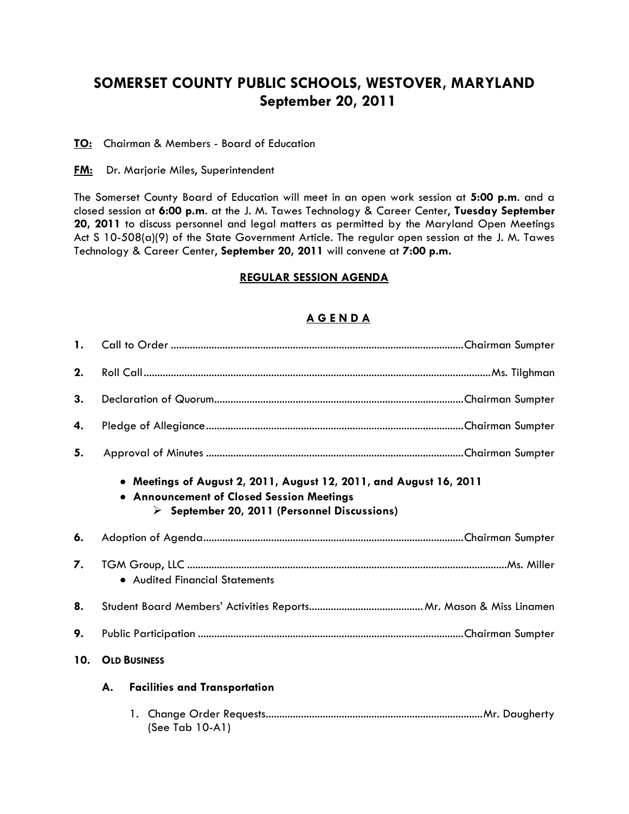# **SOMERSET COUNTY PUBLIC SCHOOLS, WESTOVER, MARYLAND September 20, 2011**

**TO:** Chairman & Members - Board of Education

**FM:** Dr. Marjorie Miles, Superintendent

The Somerset County Board of Education will meet in an open work session at **5:00 p.m**. and a closed session at **6:00 p.m**. at the J. M. Tawes Technology & Career Center, **Tuesday September 20, 2011** to discuss personnel and legal matters as permitted by the Maryland Open Meetings Act S 10-508(a)(9) of the State Government Article. The regular open session at the J. M. Tawes Technology & Career Center, **September 20, 2011** will convene at **7:00 p.m.**

### **REGULAR SESSION AGENDA**

### **A G E N D A**

| $\mathbf{1}$ . |                                                                                                                                                                                |  |  |
|----------------|--------------------------------------------------------------------------------------------------------------------------------------------------------------------------------|--|--|
| 2.             |                                                                                                                                                                                |  |  |
| 3.             |                                                                                                                                                                                |  |  |
| 4.             |                                                                                                                                                                                |  |  |
| 5.             |                                                                                                                                                                                |  |  |
|                | • Meetings of August 2, 2011, August 12, 2011, and August 16, 2011<br>• Announcement of Closed Session Meetings<br>$\triangleright$ September 20, 2011 (Personnel Discussions) |  |  |
| 6.             |                                                                                                                                                                                |  |  |
| 7.             | • Audited Financial Statements                                                                                                                                                 |  |  |
| 8.             |                                                                                                                                                                                |  |  |
| 9.             |                                                                                                                                                                                |  |  |
| 10.            | <b>OLD BUSINESS</b>                                                                                                                                                            |  |  |
|                | <b>Facilities and Transportation</b><br>А.                                                                                                                                     |  |  |
|                | (See Tab 10-A1)                                                                                                                                                                |  |  |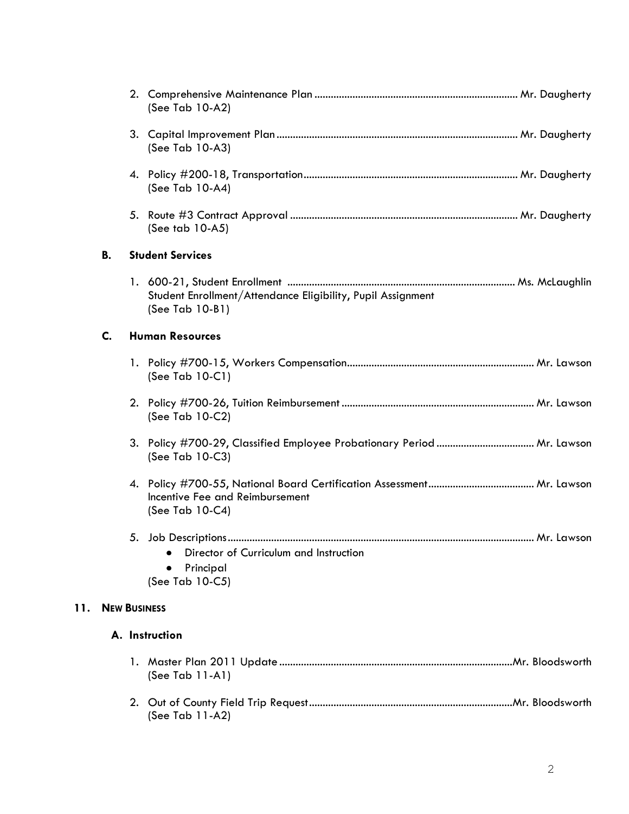|     |           | (See Tab 10-A2)                                                                           |
|-----|-----------|-------------------------------------------------------------------------------------------|
|     |           | (See Tab 10-A3)                                                                           |
|     |           | (See Tab 10-A4)                                                                           |
|     |           | (See tab 10-A5)                                                                           |
|     | <b>B.</b> | <b>Student Services</b>                                                                   |
|     |           | Student Enrollment/Attendance Eligibility, Pupil Assignment<br>(See Tab 10-B1)            |
|     | C.        | <b>Human Resources</b>                                                                    |
|     |           | (See Tab 10-C1)                                                                           |
|     |           | (See Tab 10-C2)                                                                           |
|     |           | 3. Policy #700-29, Classified Employee Probationary Period  Mr. Lawson<br>(See Tab 10-C3) |
|     |           | Incentive Fee and Reimbursement<br>(See Tab 10-C4)                                        |
|     |           |                                                                                           |
|     |           | Director of Curriculum and Instruction<br>Principal                                       |
|     |           | (See Tab 10-C5)                                                                           |
| 11. |           | <b>NEW BUSINESS</b>                                                                       |
|     |           | A. Instruction                                                                            |
|     |           | (See Tab $11-A1$ )                                                                        |
|     |           | (See Tab 11-A2)                                                                           |

2